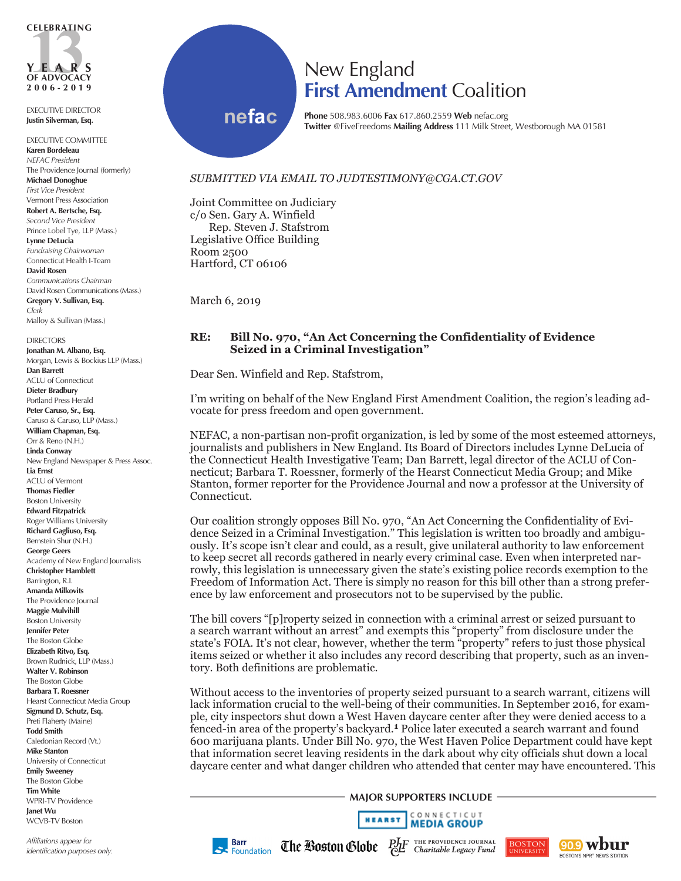

EXECUTIVE DIRECTOR **Justin Silverman, Esq.**

EXECUTIVE COMMITTEE **Karen Bordeleau** *NEFAC President* The Providence Journal (formerly) **Michael Donoghue** *First Vice President* Vermont Press Association **Robert A. Bertsche, Esq.** *Second Vice President* Prince Lobel Tye, LLP (Mass.) **Lynne DeLucia** *Fundraising Chairwoman* Connecticut Health I-Team **David Rosen** *Communications Chairman* David Rosen Communications (Mass.) **Gregory V. Sullivan, Esq.** *Clerk* Malloy & Sullivan (Mass.)

**DIRECTORS Jonathan M. Albano, Esq.** Morgan, Lewis & Bockius LLP (Mass.) **Dan Barrett** ACLU of Connecticut **Dieter Bradbury** Portland Press Herald **Peter Caruso, Sr., Esq.** Caruso & Caruso, LLP (Mass.) **William Chapman, Esq.** Orr & Reno (N.H.) **Linda Conway** New England Newspaper & Press Assoc. **Lia Ernst** ACLU of Vermont **Thomas Fiedler**  Boston University **Edward Fitzpatrick** Roger Williams University **Richard Gagliuso, Esq.** Bernstein Shur (N.H.) **George Geers** Academy of New England Journalists **Christopher Hamblett** Barrington, R.I. **Amanda Milkovits** The Providence Journal **Maggie Mulvihill** Boston University **Jennifer Peter** The Boston Globe **Elizabeth Ritvo, Esq.** Brown Rudnick, LLP (Mass.) **Walter V. Robinson** The Boston Globe **Barbara T. Roessner** Hearst Connecticut Media Group **Sigmund D. Schutz, Esq.** Preti Flaherty (Maine) **Todd Smith** Caledonian Record (Vt.) **Mike Stanton** University of Connecticut **Emily Sweeney** The Boston Globe **Tim White** WPRI-TV Providence **Janet Wu** WCVB-TV Boston

*Affiliations appear for identification purposes only.*

## New England **First Amendment** Coalition

**nefac**

**Phone** 508.983.6006 **Fax** 617.860.2559 **Web** nefac.org **Twitter** @FiveFreedoms **Mailing Address** 111 Milk Street, Westborough MA 01581

## *SUBMITTED VIA EMAIL TO JUDTESTIMONY@CGA.CT.GOV*

Joint Committee on Judiciary c/o Sen. Gary A. Winfield Rep. Steven J. Stafstrom Legislative Office Building Room 2500 Hartford, CT 06106

March 6, 2019

## **RE: Bill No. 970, "An Act Concerning the Confidentiality of Evidence Seized in a Criminal Investigation"**

Dear Sen. Winfield and Rep. Stafstrom,

I'm writing on behalf of the New England First Amendment Coalition, the region's leading advocate for press freedom and open government.

NEFAC, a non-partisan non-profit organization, is led by some of the most esteemed attorneys, journalists and publishers in New England. Its Board of Directors includes Lynne DeLucia of the Connecticut Health Investigative Team; Dan Barrett, legal director of the ACLU of Connecticut; Barbara T. Roessner, formerly of the Hearst Connecticut Media Group; and Mike Stanton, former reporter for the Providence Journal and now a professor at the University of Connecticut.

Our coalition strongly opposes Bill No. 970, "An Act Concerning the Confidentiality of Evidence Seized in a Criminal Investigation." This legislation is written too broadly and ambiguously. It's scope isn't clear and could, as a result, give unilateral authority to law enforcement to keep secret all records gathered in nearly every criminal case. Even when interpreted narrowly, this legislation is unnecessary given the state's existing police records exemption to the Freedom of Information Act. There is simply no reason for this bill other than a strong preference by law enforcement and prosecutors not to be supervised by the public.

The bill covers "[p]roperty seized in connection with a criminal arrest or seized pursuant to a search warrant without an arrest" and exempts this "property" from disclosure under the state's FOIA. It's not clear, however, whether the term "property" refers to just those physical items seized or whether it also includes any record describing that property, such as an inventory. Both definitions are problematic.

Without access to the inventories of property seized pursuant to a search warrant, citizens will lack information crucial to the well-being of their communities. In September 2016, for example, city inspectors shut down a West Haven daycare center after they were denied access to a fenced-in area of the property's backyard.**1** Police later executed a search warrant and found 600 marijuana plants. Under Bill No. 970, the West Haven Police Department could have kept that information secret leaving residents in the dark about why city officials shut down a local daycare center and what danger children who attended that center may have encountered. This

**MAJOR SUPPORTERS INCLUDE**





**Barr** Foundation

THE PROVIDENCE JOURNAL The Boston Globe Charitable Legacy Fund